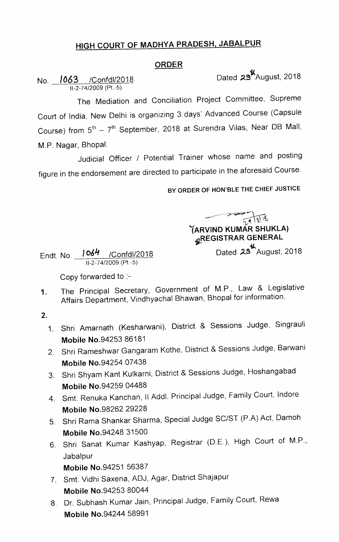## HIGH COURT OF MADHYA PRADESH, JABALPUR

## ORDER

No. **1063** /Confdl/2018 Dated 29<sup>t</sup> August, 2018

11-2-74/2009 (Pt.-5)

The Mediation and Conciliation Project Committee, Supreme Court of India, New Delhi is organizing 3 days' Advanced Course (Capsule Course) from  $5<sup>th</sup> - 7<sup>th</sup>$  September, 2018 at Surendra Vilas, Near DB Mall, M.P. Nagar, Bhopal.

Judicial Officer / Potential Trainer whose name and posting figure in the endorsement are directed to participate in the aforesaid Course.

BY ORDER OF HON'BLE THE CHIEF JUSTICE

 $\overline{\phantom{1}}$ (ARVIND KUMAR SHUNLA) gREGISTRAR GENERAL

Dated  $23^{\frac{1}{2}}$ August, 2018

Endt. No. )C>64 /Confdl/2018 11-2-74/2009 (Pt.-5)

Copy forwarded to :-

The Principal Secretary, Government of M.P., Law & Legislative  $1<sub>1</sub>$ Affairs Department, Vindhyachal Bhawan, Bhopal for information.

 $2.$ 

- Shri Amarnath (Kesharwani), District & Sessions Judge, Singrauli Mobile No.94253 86181
- 2. Shri Rameshwar Gangaram Kothe, District & Sessions Judge, Barwani Mobile No.94254 07438
- 3. Shri Shyam Kant Kulkarni, District & Sessions Judge, Hoshangabad Mobile No.94259 04488
- 4. Smt. Renuka Kanchan, II Addl. Principal Judge, Family Court, Indore Mobile No.98262 29228
- Shri Rama Shankar Sharma, Special Judge SC/ST (P.A) Act, Damoh Mobile No.94248 31500
- 6. Shri Sanat Kumar Kashyap, Registrar (D.E.), High Court of M.P., Jabalpur

Mobile No.94251 56387

- Smt. Vidhi Saxena, ADJ, Agar, District Shajapur Mobile No.94253 80044
- 8. Dr. Subhash Kumar Jain, Principal Judge, Family Court, Rewa Mobile No.94244 58991